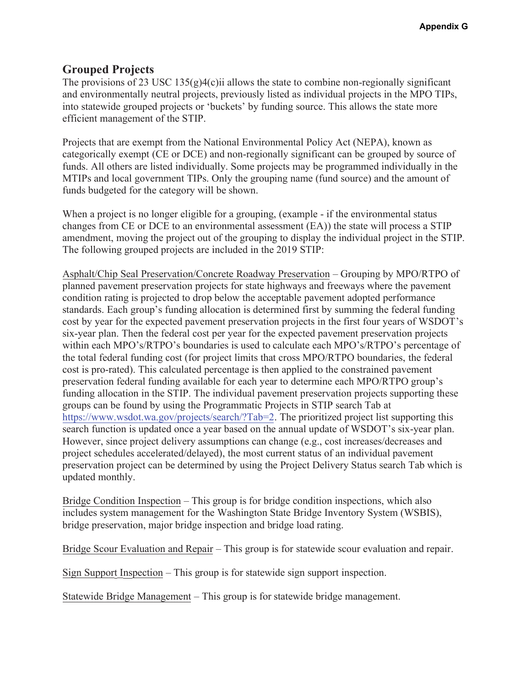## **Grouped Projects**

The provisions of 23 USC 135 $(g)$ 4 $(c)$ ii allows the state to combine non-regionally significant and environmentally neutral projects, previously listed as individual projects in the MPO TIPs, into statewide grouped projects or 'buckets' by funding source. This allows the state more efficient management of the STIP.

Projects that are exempt from the National Environmental Policy Act (NEPA), known as categorically exempt (CE or DCE) and non-regionally significant can be grouped by source of funds. All others are listed individually. Some projects may be programmed individually in the MTIPs and local government TIPs. Only the grouping name (fund source) and the amount of funds budgeted for the category will be shown.

When a project is no longer eligible for a grouping, (example - if the environmental status changes from CE or DCE to an environmental assessment (EA)) the state will process a STIP amendment, moving the project out of the grouping to display the individual project in the STIP. The following grouped projects are included in the 2019 STIP:

 preservation federal funding available for each year to determine each MPO/RTPO group's Asphalt/Chip Seal Preservation/Concrete Roadway Preservation – Grouping by MPO/RTPO of planned pavement preservation projects for state highways and freeways where the pavement condition rating is projected to drop below the acceptable pavement adopted performance standards. Each group's funding allocation is determined first by summing the federal funding cost by year for the expected pavement preservation projects in the first four years of WSDOT's six-year plan. Then the federal cost per year for the expected pavement preservation projects within each MPO's/RTPO's boundaries is used to calculate each MPO's/RTPO's percentage of the total federal funding cost (for project limits that cross MPO/RTPO boundaries, the federal cost is pro-rated). This calculated percentage is then applied to the constrained pavement funding allocation in the STIP. The individual pavement preservation projects supporting these groups can be found by using the Programmatic Projects in STIP search Tab at <https://www.wsdot.wa.gov/projects/search/?Tab=2>. The prioritized project list supporting this search function is updated once a year based on the annual update of WSDOT's six-year plan. However, since project delivery assumptions can change (e.g., cost increases/decreases and project schedules accelerated/delayed), the most current status of an individual pavement preservation project can be determined by using the Project Delivery Status search Tab which is updated monthly.

Bridge Condition Inspection – This group is for bridge condition inspections, which also includes system management for the Washington State Bridge Inventory System (WSBIS), bridge preservation, major bridge inspection and bridge load rating.

Bridge Scour Evaluation and Repair – This group is for statewide scour evaluation and repair.

Sign Support Inspection – This group is for statewide sign support inspection.

Statewide Bridge Management – This group is for statewide bridge management.